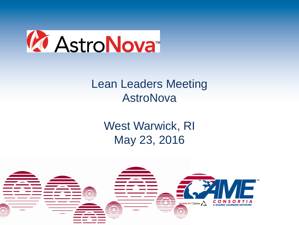

### Lean Leaders Meeting AstroNova

## West Warwick, RI May 23, 2016

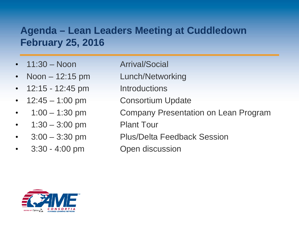#### **Agenda – Lean Leaders Meeting at Cuddledown February 25, 2016**

- 
- 
- 12:15 12:45 pm Introductions
- 
- 
- 1:30 3:00 pm Plant Tour
- 
- 3:30 4:00 pm Open discussion
- 11:30 Noon Arrival/Social
- Noon 12:15 pm Lunch/Networking
	-
- 12:45 1:00 pm Consortium Update
	- 1:00 1:30 pm Company Presentation on Lean Program
		-
	- 3:00 3:30 pm Plus/Delta Feedback Session
		-

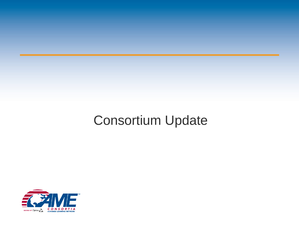# Consortium Update

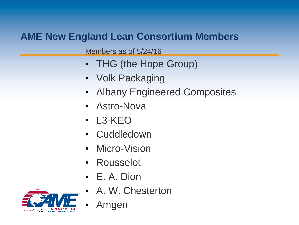#### **AME New England Lean Consortium Members**

Members as of 5/24/16

- THG (the Hope Group)
- Volk Packaging
- Albany Engineered Composites
- Astro-Nova
- L3-KEO
- Cuddledown
- Micro-Vision
- Rousselot
- E. A. Dion
- A. W. Chesterton



• Amgen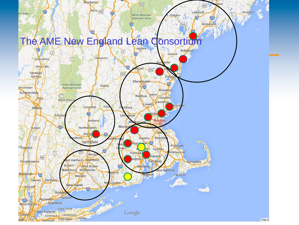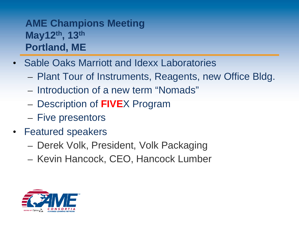#### **AME Champions Meeting May12th, 13th Portland, ME**

- Sable Oaks Marriott and Idexx Laboratories
	- Plant Tour of Instruments, Reagents, new Office Bldg.
	- Introduction of a new term "Nomads"
	- Description of **FIVE**X Program
	- Five presentors
- Featured speakers
	- Derek Volk, President, Volk Packaging
	- Kevin Hancock, CEO, Hancock Lumber

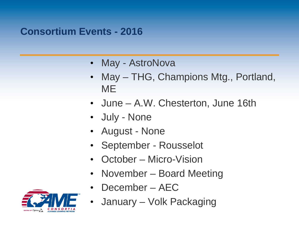#### **Consortium Events - 2016**

- May AstroNova
- May THG, Champions Mtg., Portland, ME
- June A.W. Chesterton, June 16th
- July None
- August None
- September Rousselot
- October Micro-Vision
- November Board Meeting
- December AEC



• January – Volk Packaging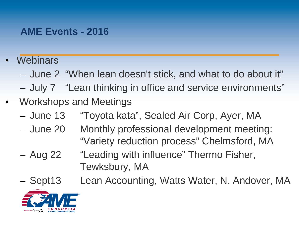#### **AME Events - 2016**

- **Webinars** 
	- June 2 "When lean doesn't stick, and what to do about it"
	- July 7 "Lean thinking in office and service environments"
- Workshops and Meetings
	- June 13 "Toyota kata", Sealed Air Corp, Ayer, MA
	- June 20 Monthly professional development meeting: "Variety reduction process" Chelmsford, MA
	- Aug 22 "Leading with influence" Thermo Fisher, Tewksbury, MA
	- Sept13 Lean Accounting, Watts Water, N. Andover, MA